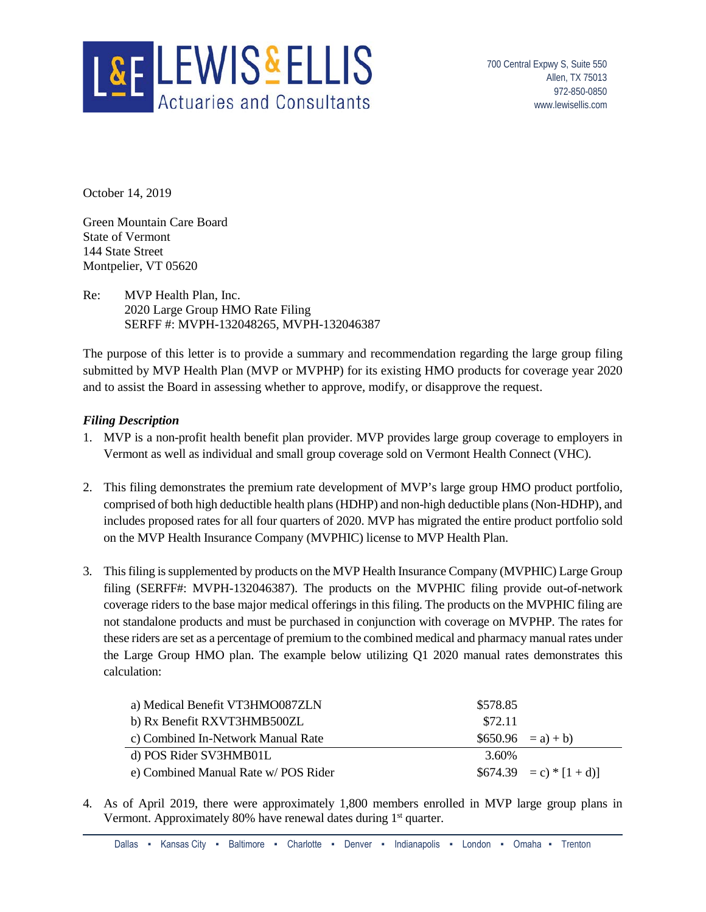

October 14, 2019

Green Mountain Care Board State of Vermont 144 State Street Montpelier, VT 05620

Re: MVP Health Plan, Inc. 2020 Large Group HMO Rate Filing SERFF #: MVPH-132048265, MVPH-132046387

The purpose of this letter is to provide a summary and recommendation regarding the large group filing submitted by MVP Health Plan (MVP or MVPHP) for its existing HMO products for coverage year 2020 and to assist the Board in assessing whether to approve, modify, or disapprove the request.

# *Filing Description*

- 1. MVP is a non-profit health benefit plan provider. MVP provides large group coverage to employers in Vermont as well as individual and small group coverage sold on Vermont Health Connect (VHC).
- 2. This filing demonstrates the premium rate development of MVP's large group HMO product portfolio, comprised of both high deductible health plans (HDHP) and non-high deductible plans (Non-HDHP), and includes proposed rates for all four quarters of 2020. MVP has migrated the entire product portfolio sold on the MVP Health Insurance Company (MVPHIC) license to MVP Health Plan.
- 3. This filing is supplemented by products on the MVP Health Insurance Company (MVPHIC) Large Group filing (SERFF#: MVPH-132046387). The products on the MVPHIC filing provide out-of-network coverage riders to the base major medical offerings in this filing. The products on the MVPHIC filing are not standalone products and must be purchased in conjunction with coverage on MVPHP. The rates for these riders are set as a percentage of premium to the combined medical and pharmacy manual rates under the Large Group HMO plan. The example below utilizing Q1 2020 manual rates demonstrates this calculation:

| a) Medical Benefit VT3HMO087ZLN     | \$578.85 |                          |
|-------------------------------------|----------|--------------------------|
| b) Rx Benefit RXVT3HMB500ZL         | \$72.11  |                          |
| c) Combined In-Network Manual Rate  |          | $$650.96 = a)+b$         |
| d) POS Rider SV3HMB01L              | 3.60%    |                          |
| e) Combined Manual Rate w/POS Rider |          | $$674.39 = c$ * [1 + d)] |

4. As of April 2019, there were approximately 1,800 members enrolled in MVP large group plans in Vermont. Approximately 80% have renewal dates during  $1<sup>st</sup>$  quarter.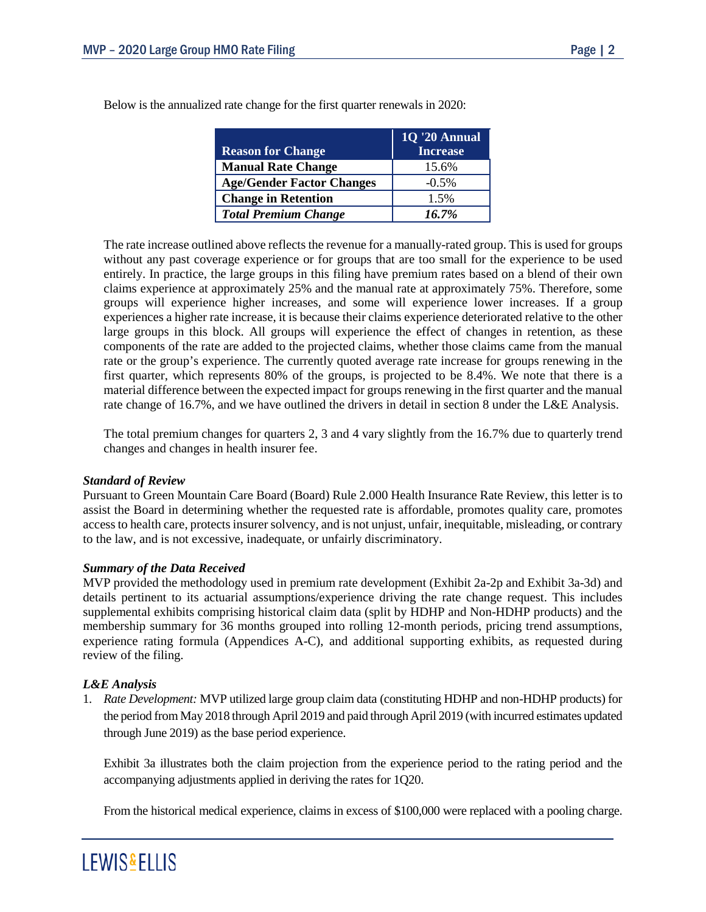|                                  | 1Q '20 Annual   |
|----------------------------------|-----------------|
| <b>Reason for Change</b>         | <b>Increase</b> |
| <b>Manual Rate Change</b>        | 15.6%           |
| <b>Age/Gender Factor Changes</b> | $-0.5\%$        |
| <b>Change in Retention</b>       | 1.5%            |
| <b>Total Premium Change</b>      | 16.7%           |

Below is the annualized rate change for the first quarter renewals in 2020:

The rate increase outlined above reflects the revenue for a manually-rated group. This is used for groups without any past coverage experience or for groups that are too small for the experience to be used entirely. In practice, the large groups in this filing have premium rates based on a blend of their own claims experience at approximately 25% and the manual rate at approximately 75%. Therefore, some groups will experience higher increases, and some will experience lower increases. If a group experiences a higher rate increase, it is because their claims experience deteriorated relative to the other large groups in this block. All groups will experience the effect of changes in retention, as these components of the rate are added to the projected claims, whether those claims came from the manual rate or the group's experience. The currently quoted average rate increase for groups renewing in the first quarter, which represents 80% of the groups, is projected to be 8.4%. We note that there is a material difference between the expected impact for groups renewing in the first quarter and the manual rate change of 16.7%, and we have outlined the drivers in detail in section 8 under the L&E Analysis.

The total premium changes for quarters 2, 3 and 4 vary slightly from the 16.7% due to quarterly trend changes and changes in health insurer fee.

#### *Standard of Review*

Pursuant to Green Mountain Care Board (Board) Rule 2.000 Health Insurance Rate Review, this letter is to assist the Board in determining whether the requested rate is affordable, promotes quality care, promotes access to health care, protects insurer solvency, and is not unjust, unfair, inequitable, misleading, or contrary to the law, and is not excessive, inadequate, or unfairly discriminatory.

#### *Summary of the Data Received*

MVP provided the methodology used in premium rate development (Exhibit 2a-2p and Exhibit 3a-3d) and details pertinent to its actuarial assumptions/experience driving the rate change request. This includes supplemental exhibits comprising historical claim data (split by HDHP and Non-HDHP products) and the membership summary for 36 months grouped into rolling 12-month periods, pricing trend assumptions, experience rating formula (Appendices A-C), and additional supporting exhibits, as requested during review of the filing.

#### *L&E Analysis*

1. *Rate Development:* MVP utilized large group claim data (constituting HDHP and non-HDHP products) for the period from May 2018 through April 2019 and paid through April 2019 (with incurred estimates updated through June 2019) as the base period experience.

Exhibit 3a illustrates both the claim projection from the experience period to the rating period and the accompanying adjustments applied in deriving the rates for 1Q20.

From the historical medical experience, claims in excess of \$100,000 were replaced with a pooling charge.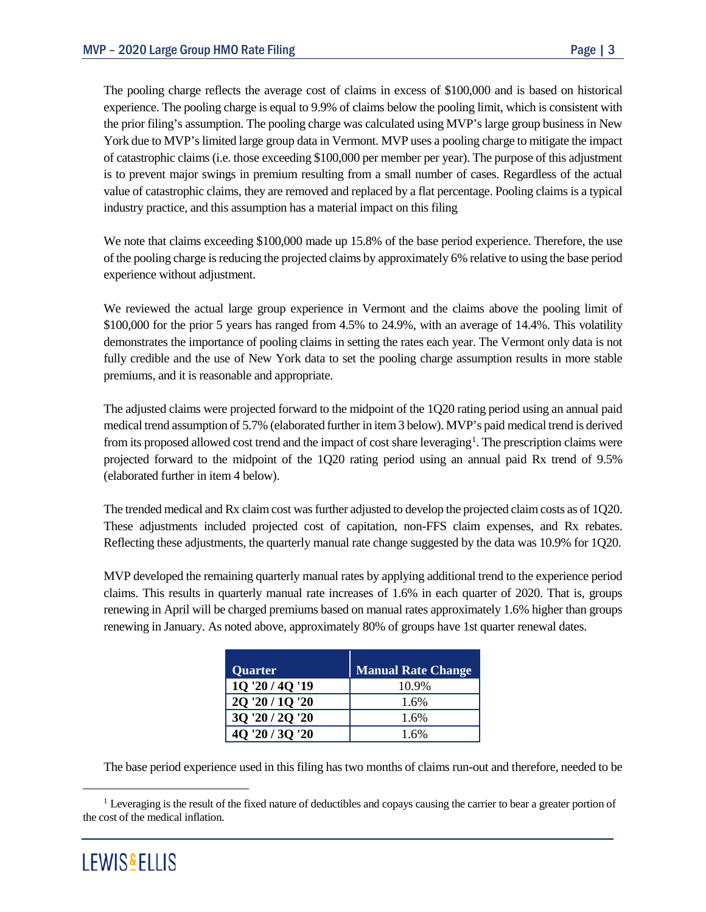The pooling charge reflects the average cost of claims in excess of \$100,000 and is based on historical experience. The pooling charge is equal to 9.9% of claims below the pooling limit, which is consistent with the prior filing's assumption. The pooling charge was calculated using MVP's large group business in New York due to MVP's limited large group data in Vermont. MVP uses a pooling charge to mitigate the impact of catastrophic claims (i.e. those exceeding \$100,000 per member per year). The purpose of this adjustment is to prevent major swings in premium resulting from a small number of cases. Regardless of the actual value of catastrophic claims, they are removed and replaced by a flat percentage. Pooling claims is a typical industry practice, and this assumption has a material impact on this filing

We note that claims exceeding \$100,000 made up 15.8% of the base period experience. Therefore, the use of the pooling charge is reducing the projected claims by approximately 6% relative to using the base period experience without adjustment.

We reviewed the actual large group experience in Vermont and the claims above the pooling limit of \$100,000 for the prior 5 years has ranged from 4.5% to 24.9%, with an average of 14.4%. This volatility demonstrates the importance of pooling claims in setting the rates each year. The Vermont only data is not fully credible and the use of New York data to set the pooling charge assumption results in more stable premiums, and it is reasonable and appropriate.

The adjusted claims were projected forward to the midpoint of the 1Q20 rating period using an annual paid medical trend assumption of 5.7% (elaborated further in item 3 below). MVP's paid medical trend is derived from its proposed allowed cost trend and the impact of cost share leveraging<sup>[1](#page-2-0)</sup>. The prescription claims were projected forward to the midpoint of the 1Q20 rating period using an annual paid Rx trend of 9.5% (elaborated further in item 4 below).

The trended medical and Rx claim cost was further adjusted to develop the projected claim costs as of 1Q20. These adjustments included projected cost of capitation, non-FFS claim expenses, and Rx rebates. Reflecting these adjustments, the quarterly manual rate change suggested by the data was 10.9% for 1Q20.

MVP developed the remaining quarterly manual rates by applying additional trend to the experience period claims. This results in quarterly manual rate increases of 1.6% in each quarter of 2020. That is, groups renewing in April will be charged premiums based on manual rates approximately 1.6% higher than groups renewing in January. As noted above, approximately 80% of groups have 1st quarter renewal dates.

| Quarter         | <b>Manual Rate Change</b> |
|-----------------|---------------------------|
| 1Q '20 / 4Q '19 | 10.9%                     |
| 2Q '20 / 1Q '20 | 1.6%                      |
| 3Q '20 / 2Q '20 | 1.6%                      |
| 4Q'20/3Q'20     | 1.6%                      |

The base period experience used in this filing has two months of claims run-out and therefore, needed to be

<span id="page-2-0"></span><sup>&</sup>lt;sup>1</sup> Leveraging is the result of the fixed nature of deductibles and copays causing the carrier to bear a greater portion of the cost of the medical inflation.

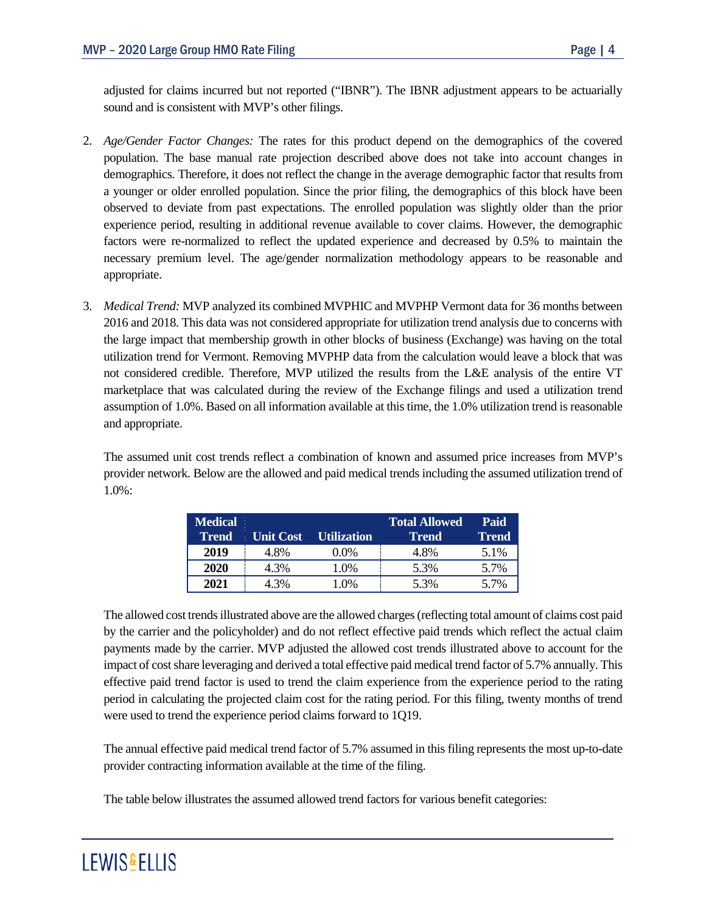adjusted for claims incurred but not reported ("IBNR"). The IBNR adjustment appears to be actuarially sound and is consistent with MVP's other filings.

- 2. *Age/Gender Factor Changes:* The rates for this product depend on the demographics of the covered population. The base manual rate projection described above does not take into account changes in demographics. Therefore, it does not reflect the change in the average demographic factor that results from a younger or older enrolled population. Since the prior filing, the demographics of this block have been observed to deviate from past expectations. The enrolled population was slightly older than the prior experience period, resulting in additional revenue available to cover claims. However, the demographic factors were re-normalized to reflect the updated experience and decreased by 0.5% to maintain the necessary premium level. The age/gender normalization methodology appears to be reasonable and appropriate.
- 3. *Medical Trend:* MVP analyzed its combined MVPHIC and MVPHP Vermont data for 36 months between 2016 and 2018. This data was not considered appropriate for utilization trend analysis due to concerns with the large impact that membership growth in other blocks of business (Exchange) was having on the total utilization trend for Vermont. Removing MVPHP data from the calculation would leave a block that was not considered credible. Therefore, MVP utilized the results from the L&E analysis of the entire VT marketplace that was calculated during the review of the Exchange filings and used a utilization trend assumption of 1.0%. Based on all information available at this time, the 1.0% utilization trend is reasonable and appropriate.

The assumed unit cost trends reflect a combination of known and assumed price increases from MVP's provider network. Below are the allowed and paid medical trends including the assumed utilization trend of 1.0%:

| <b>Medical</b> |                  |                    | <b>Total Allowed</b> | Paid         |
|----------------|------------------|--------------------|----------------------|--------------|
| <b>Trend</b>   | <b>Unit Cost</b> | <b>Utilization</b> | <b>Trend</b>         | <b>Trend</b> |
| 2019           | 4.8%             | $0.0\%$            | 4.8%                 | 5.1%         |
| 2020           | 4.3%             | 1.0%               | 5.3%                 | 5.7%         |
| 2021           | 4.3%             | 1.0%               | 5.3%                 | 5.7%         |

The allowed cost trends illustrated above are the allowed charges (reflecting total amount of claims cost paid by the carrier and the policyholder) and do not reflect effective paid trends which reflect the actual claim payments made by the carrier. MVP adjusted the allowed cost trends illustrated above to account for the impact of cost share leveraging and derived a total effective paid medical trend factor of 5.7% annually. This effective paid trend factor is used to trend the claim experience from the experience period to the rating period in calculating the projected claim cost for the rating period. For this filing, twenty months of trend were used to trend the experience period claims forward to 1Q19.

The annual effective paid medical trend factor of 5.7% assumed in this filing represents the most up-to-date provider contracting information available at the time of the filing.

The table below illustrates the assumed allowed trend factors for various benefit categories: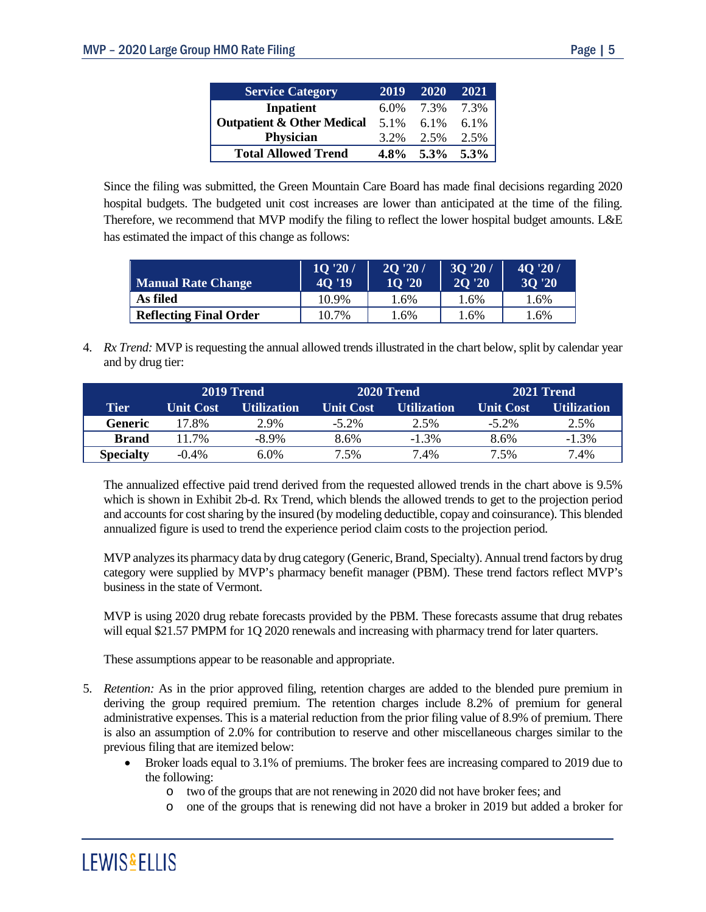| <b>Service Category</b>               | 2019    | 2020    | 2021    |
|---------------------------------------|---------|---------|---------|
| <b>Inpatient</b>                      | $6.0\%$ | 7.3%    | 7.3%    |
| <b>Outpatient &amp; Other Medical</b> | 5.1%    | 6.1%    | 6.1%    |
| Physician                             | 3.2%    | 2.5%    | 2.5%    |
| <b>Total Allowed Trend</b>            | $4.8\%$ | $5.3\%$ | $5.3\%$ |

Since the filing was submitted, the Green Mountain Care Board has made final decisions regarding 2020 hospital budgets. The budgeted unit cost increases are lower than anticipated at the time of the filing. Therefore, we recommend that MVP modify the filing to reflect the lower hospital budget amounts. L&E has estimated the impact of this change as follows:

| <b>Manual Rate Change</b>     | 10'20/<br><b>40 '19</b> | 20'20'<br><b>10 '20</b> | 3Q'20/<br><b>20 '20</b> | 40'20/<br>30'20 |
|-------------------------------|-------------------------|-------------------------|-------------------------|-----------------|
| As filed                      | 10.9%                   | .6%                     | 1.6%                    | . .6%           |
| <b>Reflecting Final Order</b> | 10.7%                   | .6%                     | . .6%                   | . .6%           |

4. *Rx Trend:* MVP is requesting the annual allowed trends illustrated in the chart below, split by calendar year and by drug tier:

|              |                  | 2019 Trend         |                  | <b>2020 Trend</b>  |                  | 2021 Trend         |
|--------------|------------------|--------------------|------------------|--------------------|------------------|--------------------|
| Tier         | <b>Unit Cost</b> | <b>Utilization</b> | <b>Unit Cost</b> | <b>Utilization</b> | <b>Unit Cost</b> | <b>Utilization</b> |
| Generic      | 17.8%            | 2.9%               | $-5.2\%$         | 2.5%               | $-5.2\%$         | 2.5%               |
| <b>Brand</b> | 11.7%            | $-8.9\%$           | 8.6%             | $-1.3\%$           | 8.6%             | $-1.3\%$           |
| Specialty    | $-0.4\%$         | 6.0%               | 7.5%             | 7.4%               | 7.5%             | 7.4%               |

The annualized effective paid trend derived from the requested allowed trends in the chart above is 9.5% which is shown in Exhibit 2b-d. Rx Trend, which blends the allowed trends to get to the projection period and accounts for cost sharing by the insured (by modeling deductible, copay and coinsurance). This blended annualized figure is used to trend the experience period claim costs to the projection period.

MVP analyzes its pharmacy data by drug category (Generic, Brand, Specialty). Annual trend factors by drug category were supplied by MVP's pharmacy benefit manager (PBM). These trend factors reflect MVP's business in the state of Vermont.

MVP is using 2020 drug rebate forecasts provided by the PBM. These forecasts assume that drug rebates will equal \$21.57 PMPM for 1Q 2020 renewals and increasing with pharmacy trend for later quarters.

These assumptions appear to be reasonable and appropriate.

- 5. *Retention:* As in the prior approved filing, retention charges are added to the blended pure premium in deriving the group required premium. The retention charges include 8.2% of premium for general administrative expenses. This is a material reduction from the prior filing value of 8.9% of premium. There is also an assumption of 2.0% for contribution to reserve and other miscellaneous charges similar to the previous filing that are itemized below:
	- Broker loads equal to 3.1% of premiums. The broker fees are increasing compared to 2019 due to the following:
		- o two of the groups that are not renewing in 2020 did not have broker fees; and
		- o one of the groups that is renewing did not have a broker in 2019 but added a broker for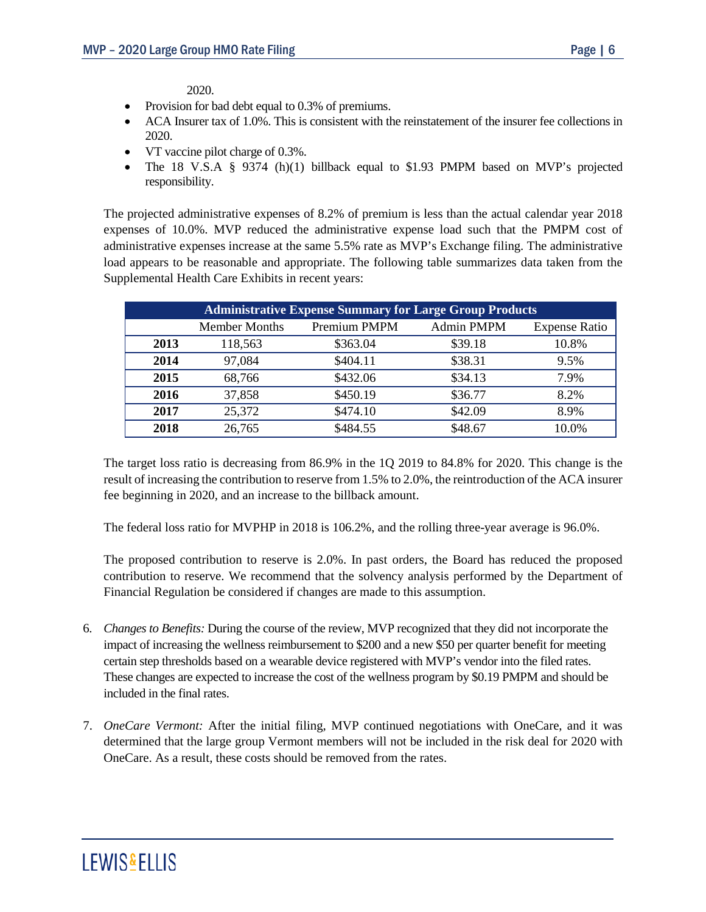2020.

- Provision for bad debt equal to 0.3% of premiums.
- ACA Insurer tax of 1.0%. This is consistent with the reinstatement of the insurer fee collections in 2020.
- VT vaccine pilot charge of 0.3%.
- The 18 V.S.A § 9374 (h)(1) billback equal to \$1.93 PMPM based on MVP's projected responsibility.

The projected administrative expenses of 8.2% of premium is less than the actual calendar year 2018 expenses of 10.0%. MVP reduced the administrative expense load such that the PMPM cost of administrative expenses increase at the same 5.5% rate as MVP's Exchange filing. The administrative load appears to be reasonable and appropriate. The following table summarizes data taken from the Supplemental Health Care Exhibits in recent years:

| <b>Administrative Expense Summary for Large Group Products</b> |                      |              |            |                      |
|----------------------------------------------------------------|----------------------|--------------|------------|----------------------|
|                                                                | <b>Member Months</b> | Premium PMPM | Admin PMPM | <b>Expense Ratio</b> |
| 2013                                                           | 118,563              | \$363.04     | \$39.18    | 10.8%                |
| 2014                                                           | 97,084               | \$404.11     | \$38.31    | 9.5%                 |
| 2015                                                           | 68,766               | \$432.06     | \$34.13    | 7.9%                 |
| 2016                                                           | 37,858               | \$450.19     | \$36.77    | 8.2%                 |
| 2017                                                           | 25,372               | \$474.10     | \$42.09    | 8.9%                 |
| 2018                                                           | 26,765               | \$484.55     | \$48.67    | 10.0%                |

The target loss ratio is decreasing from 86.9% in the 1Q 2019 to 84.8% for 2020. This change is the result of increasing the contribution to reserve from 1.5% to 2.0%, the reintroduction of the ACA insurer fee beginning in 2020, and an increase to the billback amount.

The federal loss ratio for MVPHP in 2018 is 106.2%, and the rolling three-year average is 96.0%.

The proposed contribution to reserve is 2.0%. In past orders, the Board has reduced the proposed contribution to reserve. We recommend that the solvency analysis performed by the Department of Financial Regulation be considered if changes are made to this assumption.

- 6. *Changes to Benefits:* During the course of the review, MVP recognized that they did not incorporate the impact of increasing the wellness reimbursement to \$200 and a new \$50 per quarter benefit for meeting certain step thresholds based on a wearable device registered with MVP's vendor into the filed rates. These changes are expected to increase the cost of the wellness program by \$0.19 PMPM and should be included in the final rates.
- 7. *OneCare Vermont:* After the initial filing, MVP continued negotiations with OneCare, and it was determined that the large group Vermont members will not be included in the risk deal for 2020 with OneCare. As a result, these costs should be removed from the rates.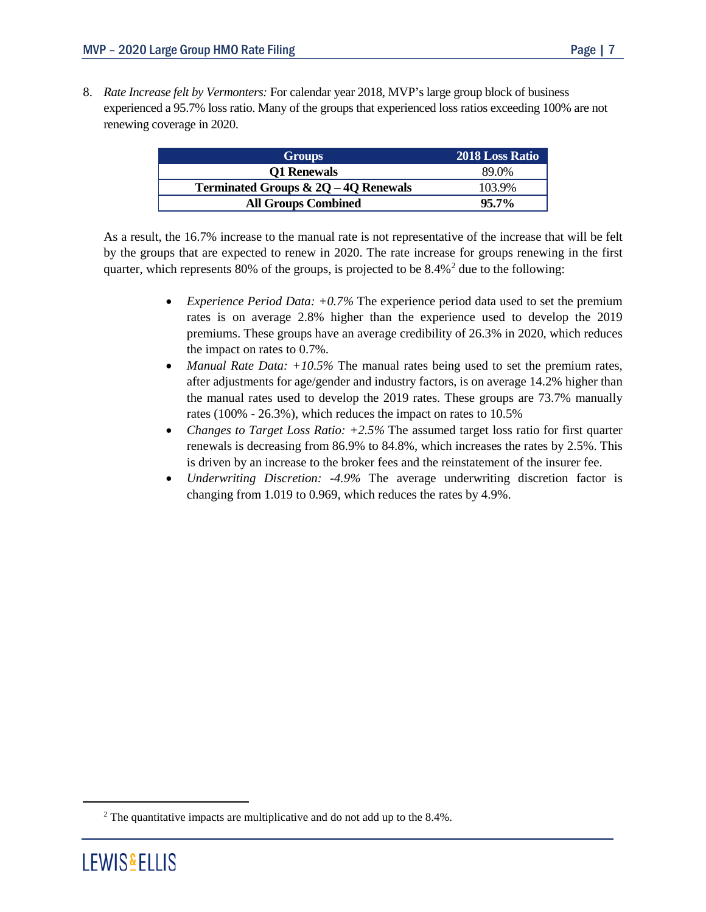8. *Rate Increase felt by Vermonters:* For calendar year 2018, MVP's large group block of business experienced a 95.7% loss ratio. Many of the groups that experienced loss ratios exceeding 100% are not renewing coverage in 2020.

| <b>Groups</b>                          | 2018 Loss Ratio |
|----------------------------------------|-----------------|
| Q1 Renewals                            | 89.0%           |
| Terminated Groups $& 2Q - 4Q$ Renewals | 103.9%          |
| <b>All Groups Combined</b>             | $95.7\%$        |

As a result, the 16.7% increase to the manual rate is not representative of the increase that will be felt by the groups that are expected to renew in 2020. The rate increase for groups renewing in the first quarter, which represents 80% of the groups, is projected to be  $8.4\%$ <sup>[2](#page-6-0)</sup> due to the following:

- *Experience Period Data: +0.7%* The experience period data used to set the premium rates is on average 2.8% higher than the experience used to develop the 2019 premiums. These groups have an average credibility of 26.3% in 2020, which reduces the impact on rates to 0.7%.
- *Manual Rate Data: +10.5%* The manual rates being used to set the premium rates, after adjustments for age/gender and industry factors, is on average 14.2% higher than the manual rates used to develop the 2019 rates. These groups are 73.7% manually rates (100% - 26.3%), which reduces the impact on rates to 10.5%
- *Changes to Target Loss Ratio: +2.5%* The assumed target loss ratio for first quarter renewals is decreasing from 86.9% to 84.8%, which increases the rates by 2.5%. This is driven by an increase to the broker fees and the reinstatement of the insurer fee.
- *Underwriting Discretion: -4.9%* The average underwriting discretion factor is changing from 1.019 to 0.969, which reduces the rates by 4.9%.

<span id="page-6-0"></span>

<sup>2</sup> The quantitative impacts are multiplicative and do not add up to the 8.4%.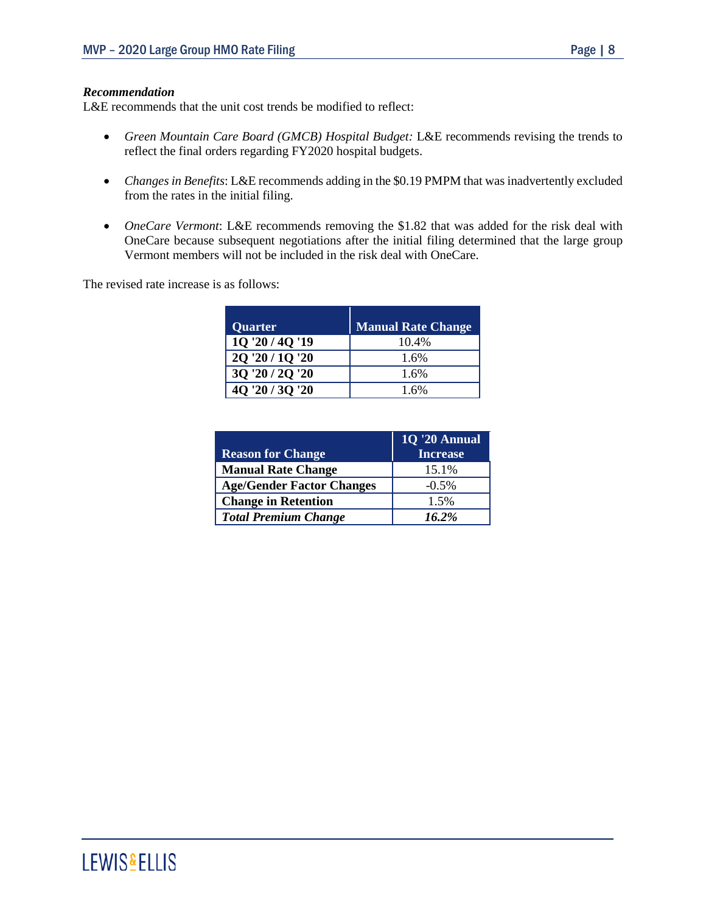# *Recommendation*

L&E recommends that the unit cost trends be modified to reflect:

- *Green Mountain Care Board (GMCB) Hospital Budget:* L&E recommends revising the trends to reflect the final orders regarding FY2020 hospital budgets.
- *Changes in Benefits*: L&E recommends adding in the \$0.19 PMPM that was inadvertently excluded from the rates in the initial filing.
- *OneCare Vermont*: L&E recommends removing the \$1.82 that was added for the risk deal with OneCare because subsequent negotiations after the initial filing determined that the large group Vermont members will not be included in the risk deal with OneCare.

The revised rate increase is as follows:

| Quarter         | <b>Manual Rate Change</b> |
|-----------------|---------------------------|
| 10 '20 / 40 '19 | 10.4%                     |
| 2Q '20 / 1Q '20 | 1.6%                      |
| 3Q '20 / 2Q '20 | 1.6%                      |
| 4Q '20 / 3Q '20 | 1 6%                      |

|                                  | <b>1Q '20 Annual</b> |
|----------------------------------|----------------------|
| <b>Reason for Change</b>         | <b>Increase</b>      |
| <b>Manual Rate Change</b>        | 15.1%                |
| <b>Age/Gender Factor Changes</b> | $-0.5%$              |
| <b>Change in Retention</b>       | 1.5%                 |
| <b>Total Premium Change</b>      | 16.2%                |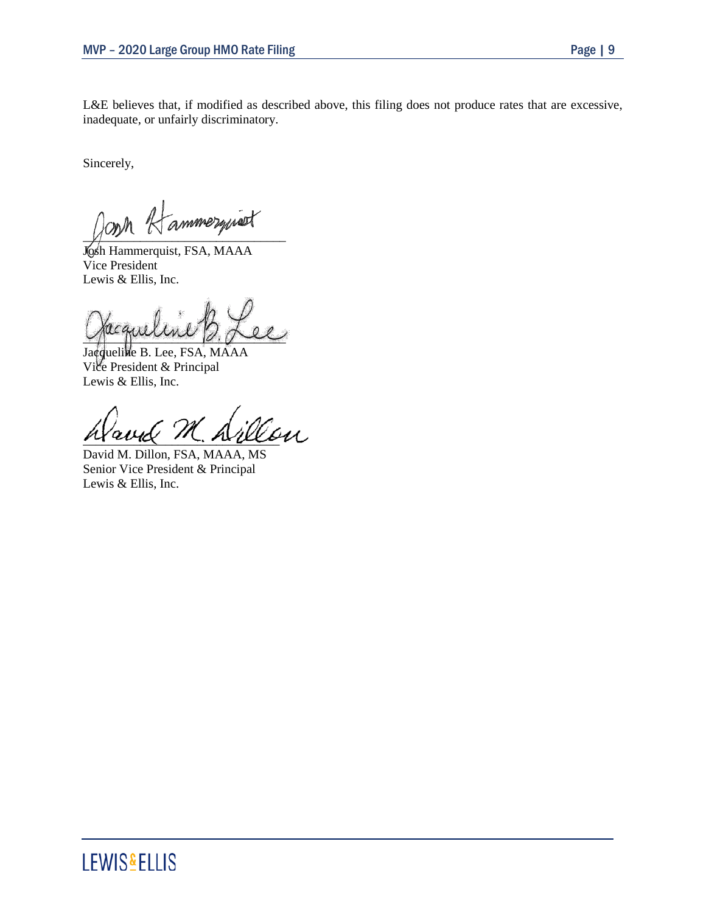L&E believes that, if modified as described above, this filing does not produce rates that are excessive, inadequate, or unfairly discriminatory.

Sincerely,

Joon Kammerguset

Josh Hammerquist, FSA, MAAA Vice President Lewis & Ellis, Inc.

 $\mathbb{Z}$  purcent  $\mathbb{Z}$ 

Jacqueline B. Lee, FSA, MAAA Vice President & Principal Lewis & Ellis, Inc.

Uen

David M. Dillon, FSA, MAAA, MS Senior Vice President & Principal Lewis & Ellis, Inc.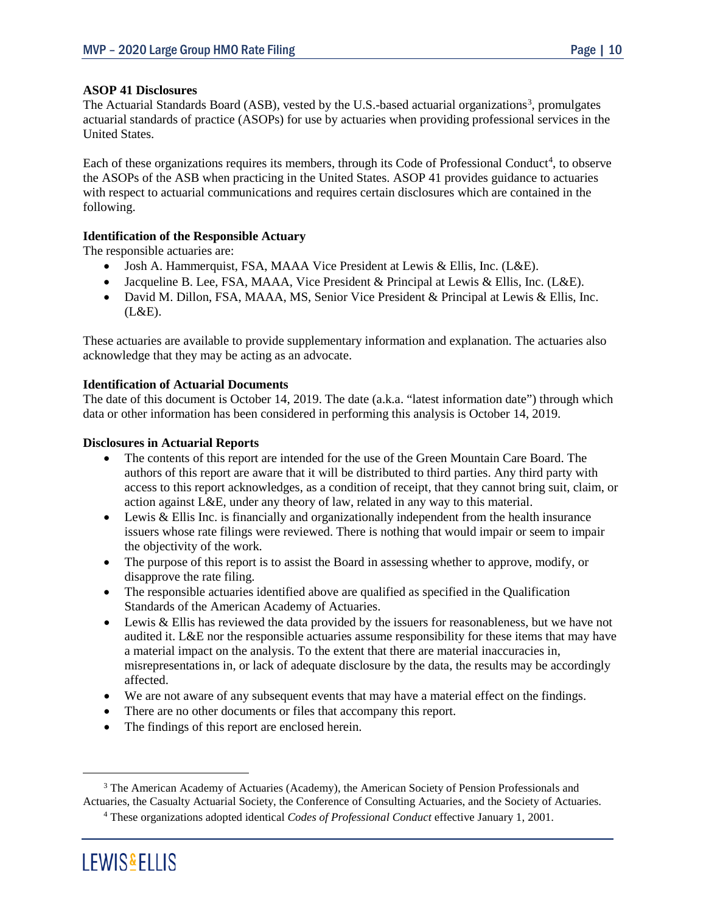#### **ASOP 41 Disclosures**

The Actuarial Standards Board (ASB), vested by the U.S.-based actuarial organizations<sup>[3](#page-9-0)</sup>, promulgates actuarial standards of practice (ASOPs) for use by actuaries when providing professional services in the United States.

Each of these organizations requires its members, through its Code of Professional Conduct<sup>[4](#page-9-1)</sup>, to observe the ASOPs of the ASB when practicing in the United States. ASOP 41 provides guidance to actuaries with respect to actuarial communications and requires certain disclosures which are contained in the following.

## **Identification of the Responsible Actuary**

The responsible actuaries are:

- Josh A. Hammerquist, FSA, MAAA Vice President at Lewis & Ellis, Inc. (L&E).
- Jacqueline B. Lee, FSA, MAAA, Vice President & Principal at Lewis & Ellis, Inc. (L&E).
- David M. Dillon, FSA, MAAA, MS, Senior Vice President & Principal at Lewis & Ellis, Inc.  $(L&E)$ .

These actuaries are available to provide supplementary information and explanation. The actuaries also acknowledge that they may be acting as an advocate.

## **Identification of Actuarial Documents**

The date of this document is October 14, 2019. The date (a.k.a. "latest information date") through which data or other information has been considered in performing this analysis is October 14, 2019.

## **Disclosures in Actuarial Reports**

- The contents of this report are intended for the use of the Green Mountain Care Board. The authors of this report are aware that it will be distributed to third parties. Any third party with access to this report acknowledges, as a condition of receipt, that they cannot bring suit, claim, or action against L&E, under any theory of law, related in any way to this material.
- Lewis & Ellis Inc. is financially and organizationally independent from the health insurance issuers whose rate filings were reviewed. There is nothing that would impair or seem to impair the objectivity of the work.
- The purpose of this report is to assist the Board in assessing whether to approve, modify, or disapprove the rate filing.
- The responsible actuaries identified above are qualified as specified in the Qualification Standards of the American Academy of Actuaries.
- $\bullet$  Lewis & Ellis has reviewed the data provided by the issuers for reasonableness, but we have not audited it. L&E nor the responsible actuaries assume responsibility for these items that may have a material impact on the analysis. To the extent that there are material inaccuracies in, misrepresentations in, or lack of adequate disclosure by the data, the results may be accordingly affected.
- We are not aware of any subsequent events that may have a material effect on the findings.
- There are no other documents or files that accompany this report.
- The findings of this report are enclosed herein.

<span id="page-9-1"></span><span id="page-9-0"></span><sup>4</sup> These organizations adopted identical *Codes of Professional Conduct* effective January 1, 2001.



<sup>&</sup>lt;sup>3</sup> The American Academy of Actuaries (Academy), the American Society of Pension Professionals and Actuaries, the Casualty Actuarial Society, the Conference of Consulting Actuaries, and the Society of Actuaries.